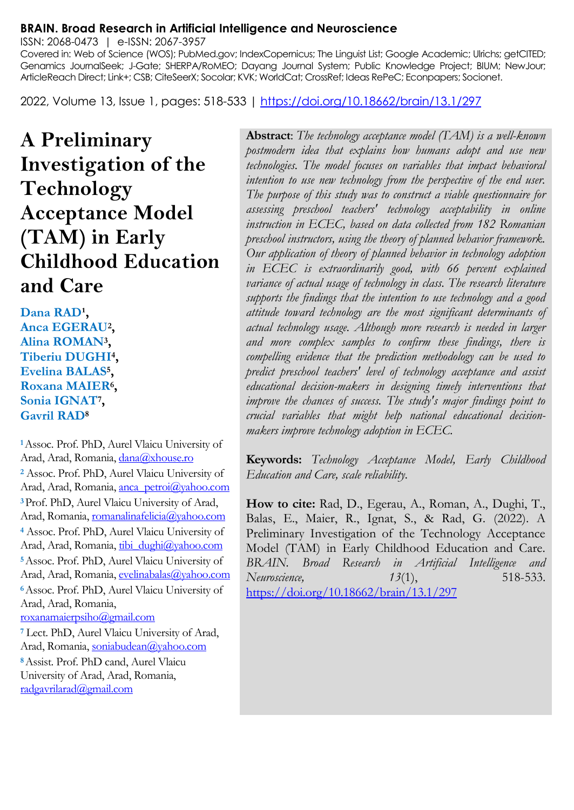#### **BRAIN. Broad Research in Artificial Intelligence and Neuroscience**

ISSN: 2068-0473 | e-ISSN: 2067-3957

Covered in: Web of Science (WOS); PubMed.gov; IndexCopernicus; The Linguist List; Google Academic; Ulrichs; getCITED; Genamics JournalSeek; J-Gate; SHERPA/RoMEO; Dayang Journal System; Public Knowledge Project; BIUM; NewJour; ArticleReach Direct; Link+; CSB; CiteSeerX; Socolar; KVK; WorldCat; CrossRef; Ideas RePeC; Econpapers; Socionet.

2022, Volume 13, Issue 1, pages: 518-533 |<https://doi.org/10.18662/brain/13.1/297>

**A Preliminary Investigation of the Technology Acceptance Model (TAM) in Early Childhood Education and Care**

Dana RAD<sup>1</sup>, **Anca EGERAU<sup>2</sup> , Alina ROMAN<sup>3</sup> , Tiberiu DUGHI<sup>4</sup> , Evelina BALAS<sup>5</sup> , Roxana MAIER<sup>6</sup> , Sonia IGNAT<sup>7</sup> , Gavril RAD<sup>8</sup>**

**<sup>1</sup>**Assoc. Prof. PhD, Aurel Vlaicu University of Arad, Arad, Romania, dana@xhouse.ro **<sup>2</sup>** Assoc. Prof. PhD, Aurel Vlaicu University of Arad, Arad, Romania, [anca\\_petroi@yahoo.com](mailto:anca_petroi@yahoo.com) **<sup>3</sup>**Prof. PhD, Aurel Vlaicu University of Arad, Arad, Romania[, romanalinafelicia@yahoo.com](mailto:romanalinafelicia@yahoo.com) **<sup>4</sup>** Assoc. Prof. PhD, Aurel Vlaicu University of Arad, Arad, Romania, [tibi\\_dughi@yahoo.com](mailto:tibi_dughi@yahoo.com) **<sup>5</sup>**Assoc. Prof. PhD, Aurel Vlaicu University of Arad, Arad, Romania, [evelinabalas@yahoo.com](mailto:evelinabalas@yahoo.com) **<sup>6</sup>**Assoc. Prof. PhD, Aurel Vlaicu University of Arad, Arad, Romania, [roxanamaierpsiho@gmail.com](mailto:roxanamaierpsiho@gmail.com)

**<sup>7</sup>** Lect. PhD, Aurel Vlaicu University of Arad, Arad, Romania[, soniabudean@yahoo.com](mailto:soniabudean@yahoo.com)

**<sup>8</sup>**Assist. Prof. PhD cand, Aurel Vlaicu University of Arad, Arad, Romania, [radgavrilarad@gmail.com](mailto:radgavrilarad@gmail.com)

**Abstract**: *The technology acceptance model (TAM) is a well-known postmodern idea that explains how humans adopt and use new technologies. The model focuses on variables that impact behavioral intention to use new technology from the perspective of the end user. The purpose of this study was to construct a viable questionnaire for assessing preschool teachers' technology acceptability in online instruction in ECEC, based on data collected from 182 Romanian preschool instructors, using the theory of planned behavior framework. Our application of theory of planned behavior in technology adoption in ECEC is extraordinarily good, with 66 percent explained variance of actual usage of technology in class. The research literature supports the findings that the intention to use technology and a good attitude toward technology are the most significant determinants of actual technology usage. Although more research is needed in larger and more complex samples to confirm these findings, there is compelling evidence that the prediction methodology can be used to predict preschool teachers' level of technology acceptance and assist educational decision-makers in designing timely interventions that improve the chances of success. The study's major findings point to crucial variables that might help national educational decisionmakers improve technology adoption in ECEC.*

**Keywords:** *Technology Acceptance Model, Early Childhood Education and Care, scale reliability.*

**How to cite:** Rad, D., Egerau, A., Roman, A., Dughi, T., Balas, E., Maier, R., Ignat, S., & Rad, G. (2022). A Preliminary Investigation of the Technology Acceptance Model (TAM) in Early Childhood Education and Care. *BRAIN. Broad Research in Artificial Intelligence and Neuroscience, 13*(1), 518-533. <https://doi.org/10.18662/brain/13.1/297>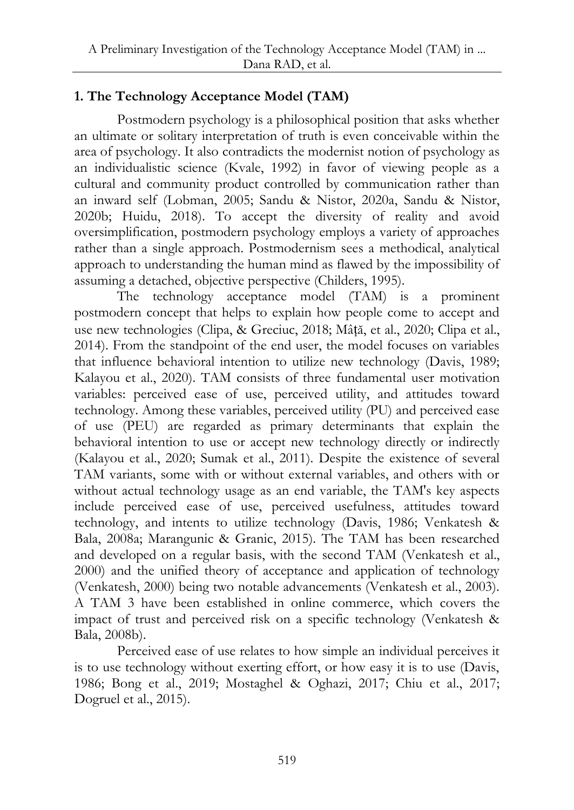# **1. The Technology Acceptance Model (TAM)**

Postmodern psychology is a philosophical position that asks whether an ultimate or solitary interpretation of truth is even conceivable within the area of psychology. It also contradicts the modernist notion of psychology as an individualistic science (Kvale, 1992) in favor of viewing people as a cultural and community product controlled by communication rather than an inward self (Lobman, 2005; Sandu & Nistor, 2020a, Sandu & Nistor, 2020b; Huidu, 2018). To accept the diversity of reality and avoid oversimplification, postmodern psychology employs a variety of approaches rather than a single approach. Postmodernism sees a methodical, analytical approach to understanding the human mind as flawed by the impossibility of assuming a detached, objective perspective (Childers, 1995).

The technology acceptance model (TAM) is a prominent postmodern concept that helps to explain how people come to accept and use new technologies (Clipa, & Greciuc, 2018; Mâță, et al., 2020; Clipa et al., 2014). From the standpoint of the end user, the model focuses on variables that influence behavioral intention to utilize new technology (Davis, 1989; Kalayou et al., 2020). TAM consists of three fundamental user motivation variables: perceived ease of use, perceived utility, and attitudes toward technology. Among these variables, perceived utility (PU) and perceived ease of use (PEU) are regarded as primary determinants that explain the behavioral intention to use or accept new technology directly or indirectly (Kalayou et al., 2020; Sumak et al., 2011). Despite the existence of several TAM variants, some with or without external variables, and others with or without actual technology usage as an end variable, the TAM's key aspects include perceived ease of use, perceived usefulness, attitudes toward technology, and intents to utilize technology (Davis, 1986; Venkatesh & Bala, 2008a; Marangunic & Granic, 2015). The TAM has been researched and developed on a regular basis, with the second TAM (Venkatesh et al., 2000) and the unified theory of acceptance and application of technology (Venkatesh, 2000) being two notable advancements (Venkatesh et al., 2003). A TAM 3 have been established in online commerce, which covers the impact of trust and perceived risk on a specific technology (Venkatesh & Bala, 2008b).

Perceived ease of use relates to how simple an individual perceives it is to use technology without exerting effort, or how easy it is to use (Davis, 1986; Bong et al., 2019; Mostaghel & Oghazi, 2017; Chiu et al., 2017; Dogruel et al., 2015).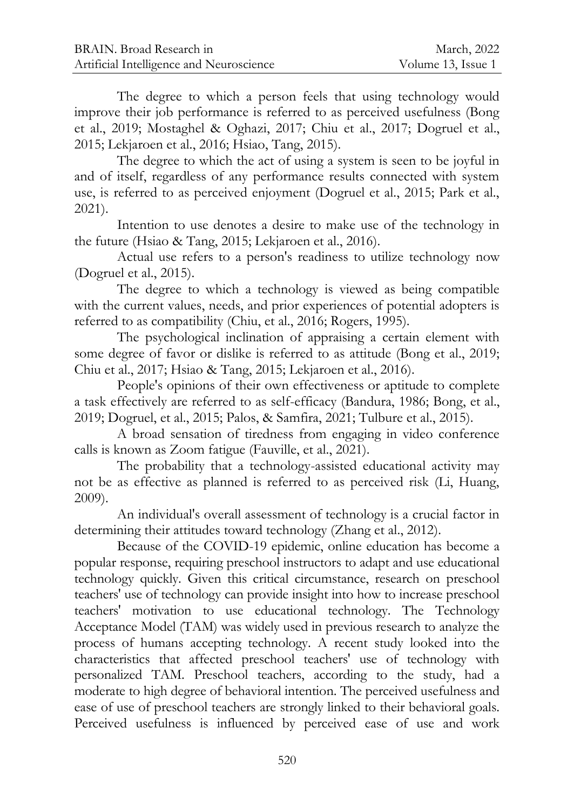The degree to which a person feels that using technology would improve their job performance is referred to as perceived usefulness (Bong et al., 2019; Mostaghel & Oghazi, 2017; Chiu et al., 2017; Dogruel et al., 2015; Lekjaroen et al., 2016; Hsiao, Tang, 2015).

The degree to which the act of using a system is seen to be joyful in and of itself, regardless of any performance results connected with system use, is referred to as perceived enjoyment (Dogruel et al., 2015; Park et al., 2021).

Intention to use denotes a desire to make use of the technology in the future (Hsiao & Tang, 2015; Lekjaroen et al., 2016).

Actual use refers to a person's readiness to utilize technology now (Dogruel et al., 2015).

The degree to which a technology is viewed as being compatible with the current values, needs, and prior experiences of potential adopters is referred to as compatibility (Chiu, et al., 2016; Rogers, 1995).

The psychological inclination of appraising a certain element with some degree of favor or dislike is referred to as attitude (Bong et al., 2019; Chiu et al., 2017; Hsiao & Tang, 2015; Lekjaroen et al., 2016).

People's opinions of their own effectiveness or aptitude to complete a task effectively are referred to as self-efficacy (Bandura, 1986; Bong, et al., 2019; Dogruel, et al., 2015; Palos, & Samfira, 2021; Tulbure et al., 2015).

A broad sensation of tiredness from engaging in video conference calls is known as Zoom fatigue (Fauville, et al., 2021).

The probability that a technology-assisted educational activity may not be as effective as planned is referred to as perceived risk (Li, Huang, 2009).

An individual's overall assessment of technology is a crucial factor in determining their attitudes toward technology (Zhang et al., 2012).

Because of the COVID-19 epidemic, online education has become a popular response, requiring preschool instructors to adapt and use educational technology quickly. Given this critical circumstance, research on preschool teachers' use of technology can provide insight into how to increase preschool teachers' motivation to use educational technology. The Technology Acceptance Model (TAM) was widely used in previous research to analyze the process of humans accepting technology. A recent study looked into the characteristics that affected preschool teachers' use of technology with personalized TAM. Preschool teachers, according to the study, had a moderate to high degree of behavioral intention. The perceived usefulness and ease of use of preschool teachers are strongly linked to their behavioral goals. Perceived usefulness is influenced by perceived ease of use and work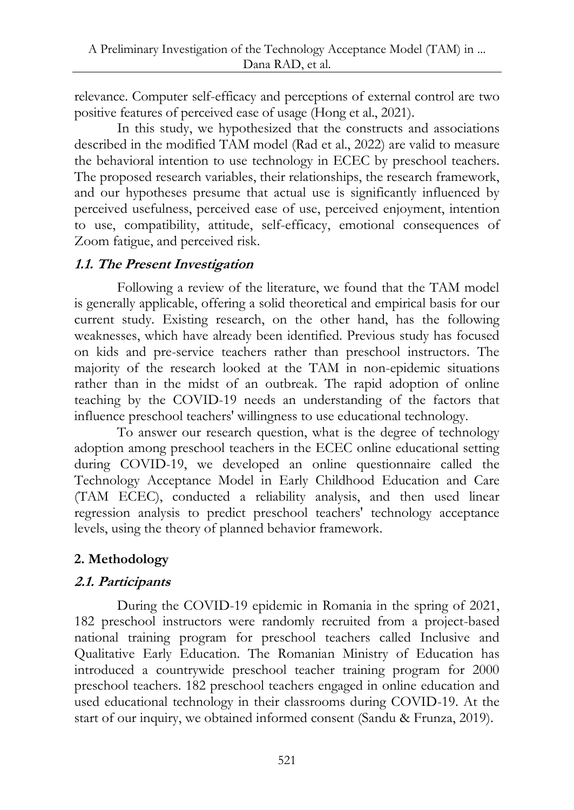relevance. Computer self-efficacy and perceptions of external control are two positive features of perceived ease of usage (Hong et al., 2021).

In this study, we hypothesized that the constructs and associations described in the modified TAM model (Rad et al., 2022) are valid to measure the behavioral intention to use technology in ECEC by preschool teachers. The proposed research variables, their relationships, the research framework, and our hypotheses presume that actual use is significantly influenced by perceived usefulness, perceived ease of use, perceived enjoyment, intention to use, compatibility, attitude, self-efficacy, emotional consequences of Zoom fatigue, and perceived risk.

### **1.1. The Present Investigation**

Following a review of the literature, we found that the TAM model is generally applicable, offering a solid theoretical and empirical basis for our current study. Existing research, on the other hand, has the following weaknesses, which have already been identified. Previous study has focused on kids and pre-service teachers rather than preschool instructors. The majority of the research looked at the TAM in non-epidemic situations rather than in the midst of an outbreak. The rapid adoption of online teaching by the COVID-19 needs an understanding of the factors that influence preschool teachers' willingness to use educational technology.

To answer our research question, what is the degree of technology adoption among preschool teachers in the ECEC online educational setting during COVID-19, we developed an online questionnaire called the Technology Acceptance Model in Early Childhood Education and Care (TAM ECEC), conducted a reliability analysis, and then used linear regression analysis to predict preschool teachers' technology acceptance levels, using the theory of planned behavior framework.

## **2. Methodology**

## **2.1. Participants**

During the COVID-19 epidemic in Romania in the spring of 2021, 182 preschool instructors were randomly recruited from a project-based national training program for preschool teachers called Inclusive and Qualitative Early Education. The Romanian Ministry of Education has introduced a countrywide preschool teacher training program for 2000 preschool teachers. 182 preschool teachers engaged in online education and used educational technology in their classrooms during COVID-19. At the start of our inquiry, we obtained informed consent (Sandu & Frunza, 2019).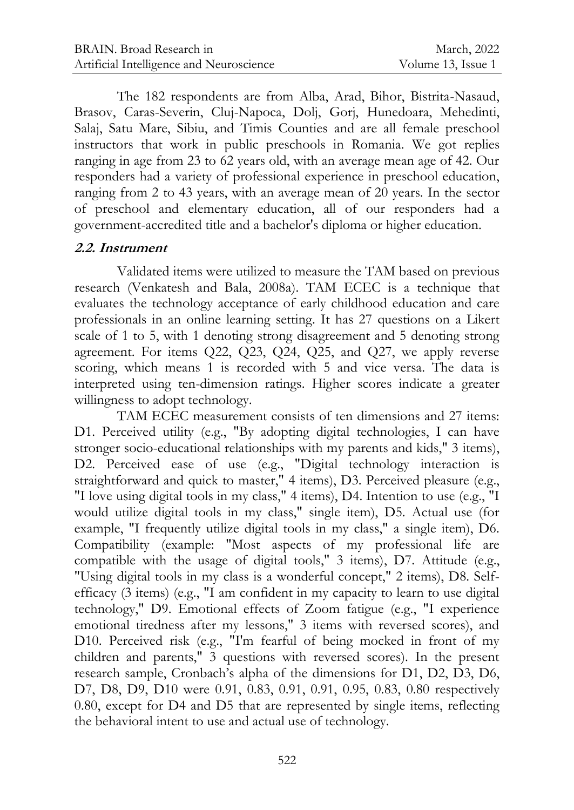The 182 respondents are from Alba, Arad, Bihor, Bistrita-Nasaud, Brasov, Caras-Severin, Cluj-Napoca, Dolj, Gorj, Hunedoara, Mehedinti, Salaj, Satu Mare, Sibiu, and Timis Counties and are all female preschool instructors that work in public preschools in Romania. We got replies ranging in age from 23 to 62 years old, with an average mean age of 42. Our responders had a variety of professional experience in preschool education, ranging from 2 to 43 years, with an average mean of 20 years. In the sector of preschool and elementary education, all of our responders had a government-accredited title and a bachelor's diploma or higher education.

### **2.2. Instrument**

Validated items were utilized to measure the TAM based on previous research (Venkatesh and Bala, 2008a). TAM ECEC is a technique that evaluates the technology acceptance of early childhood education and care professionals in an online learning setting. It has 27 questions on a Likert scale of 1 to 5, with 1 denoting strong disagreement and 5 denoting strong agreement. For items Q22, Q23, Q24, Q25, and Q27, we apply reverse scoring, which means 1 is recorded with 5 and vice versa. The data is interpreted using ten-dimension ratings. Higher scores indicate a greater willingness to adopt technology.

TAM ECEC measurement consists of ten dimensions and 27 items: D1. Perceived utility (e.g., "By adopting digital technologies, I can have stronger socio-educational relationships with my parents and kids," 3 items), D2. Perceived ease of use (e.g., "Digital technology interaction is straightforward and quick to master," 4 items), D3. Perceived pleasure (e.g., "I love using digital tools in my class," 4 items), D4. Intention to use (e.g., "I would utilize digital tools in my class," single item), D5. Actual use (for example, "I frequently utilize digital tools in my class," a single item), D6. Compatibility (example: "Most aspects of my professional life are compatible with the usage of digital tools," 3 items), D7. Attitude (e.g., "Using digital tools in my class is a wonderful concept," 2 items), D8. Selfefficacy (3 items) (e.g., "I am confident in my capacity to learn to use digital technology," D9. Emotional effects of Zoom fatigue (e.g., "I experience emotional tiredness after my lessons," 3 items with reversed scores), and D10. Perceived risk (e.g., "I'm fearful of being mocked in front of my children and parents," 3 questions with reversed scores). In the present research sample, Cronbach's alpha of the dimensions for D1, D2, D3, D6, D7, D8, D9, D10 were 0.91, 0.83, 0.91, 0.91, 0.95, 0.83, 0.80 respectively 0.80, except for D4 and D5 that are represented by single items, reflecting the behavioral intent to use and actual use of technology.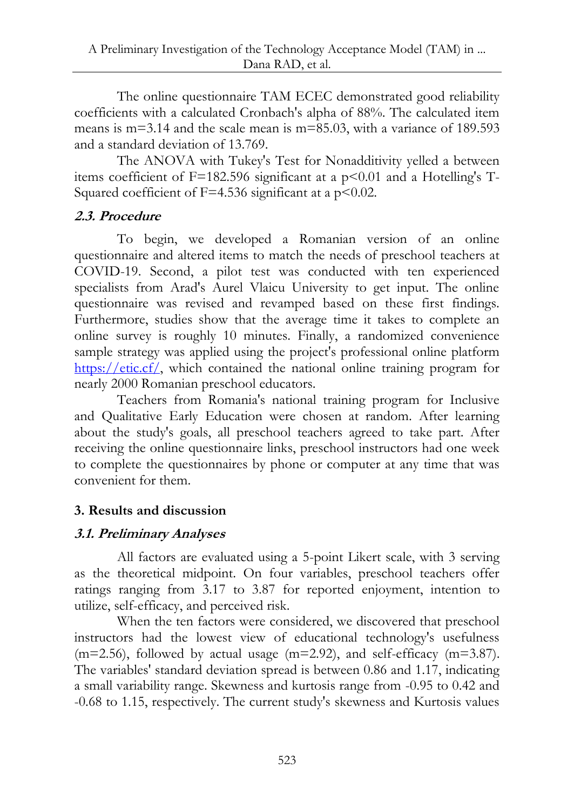The online questionnaire TAM ECEC demonstrated good reliability coefficients with a calculated Cronbach's alpha of 88%. The calculated item means is m=3.14 and the scale mean is m=85.03, with a variance of 189.593 and a standard deviation of 13.769.

The ANOVA with Tukey's Test for Nonadditivity yelled a between items coefficient of  $F=182.596$  significant at a  $p<0.01$  and a Hotelling's T-Squared coefficient of  $F=4.536$  significant at a  $p<0.02$ .

## **2.3. Procedure**

To begin, we developed a Romanian version of an online questionnaire and altered items to match the needs of preschool teachers at COVID-19. Second, a pilot test was conducted with ten experienced specialists from Arad's Aurel Vlaicu University to get input. The online questionnaire was revised and revamped based on these first findings. Furthermore, studies show that the average time it takes to complete an online survey is roughly 10 minutes. Finally, a randomized convenience sample strategy was applied using the project's professional online platform [https://etic.cf/,](https://etic.cf/) which contained the national online training program for nearly 2000 Romanian preschool educators.

Teachers from Romania's national training program for Inclusive and Qualitative Early Education were chosen at random. After learning about the study's goals, all preschool teachers agreed to take part. After receiving the online questionnaire links, preschool instructors had one week to complete the questionnaires by phone or computer at any time that was convenient for them.

## **3. Results and discussion**

### **3.1. Preliminary Analyses**

All factors are evaluated using a 5-point Likert scale, with 3 serving as the theoretical midpoint. On four variables, preschool teachers offer ratings ranging from 3.17 to 3.87 for reported enjoyment, intention to utilize, self-efficacy, and perceived risk.

When the ten factors were considered, we discovered that preschool instructors had the lowest view of educational technology's usefulness  $(m=2.56)$ , followed by actual usage  $(m=2.92)$ , and self-efficacy  $(m=3.87)$ . The variables' standard deviation spread is between 0.86 and 1.17, indicating a small variability range. Skewness and kurtosis range from -0.95 to 0.42 and -0.68 to 1.15, respectively. The current study's skewness and Kurtosis values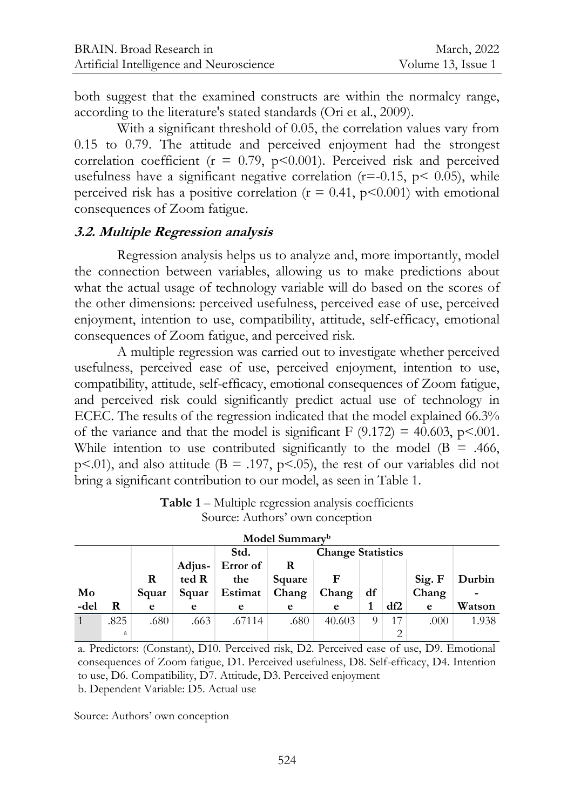both suggest that the examined constructs are within the normalcy range, according to the literature's stated standards (Ori et al., 2009).

With a significant threshold of 0.05, the correlation values vary from 0.15 to 0.79. The attitude and perceived enjoyment had the strongest correlation coefficient ( $r = 0.79$ ,  $p \le 0.001$ ). Perceived risk and perceived usefulness have a significant negative correlation ( $r = -0.15$ ,  $p < 0.05$ ), while perceived risk has a positive correlation ( $r = 0.41$ ,  $p < 0.001$ ) with emotional consequences of Zoom fatigue.

#### **3.2. Multiple Regression analysis**

Regression analysis helps us to analyze and, more importantly, model the connection between variables, allowing us to make predictions about what the actual usage of technology variable will do based on the scores of the other dimensions: perceived usefulness, perceived ease of use, perceived enjoyment, intention to use, compatibility, attitude, self-efficacy, emotional consequences of Zoom fatigue, and perceived risk.

A multiple regression was carried out to investigate whether perceived usefulness, perceived ease of use, perceived enjoyment, intention to use, compatibility, attitude, self-efficacy, emotional consequences of Zoom fatigue, and perceived risk could significantly predict actual use of technology in ECEC. The results of the regression indicated that the model explained 66.3% of the variance and that the model is significant  $F(9.172) = 40.603$ , p<.001. While intention to use contributed significantly to the model ( $B = .466$ , p<.01), and also attitude ( $B = .197$ , p<.05), the rest of our variables did not bring a significant contribution to our model, as seen in Table 1.

| Model Summary <sup>b</sup> |      |       |        |          |                          |        |    |     |        |        |
|----------------------------|------|-------|--------|----------|--------------------------|--------|----|-----|--------|--------|
|                            |      |       |        | Std.     | <b>Change Statistics</b> |        |    |     |        |        |
|                            |      |       | Adjus- | Error of | R                        |        |    |     |        |        |
|                            |      | R     | ted R  | the      | Square                   | F      |    |     | Sig. F | Durbin |
| Mo                         |      | Squar | Squar  | Estimat  | Chang                    | Chang  | df |     | Chang  | -      |
| -del                       | R    | e     | e      | e        | e                        | e      |    | df2 | e      | Watson |
| $\mathbf{1}$               | .825 | .680  | .663   | .67114   | .680                     | 40.603 |    | 17  | .000   | 1.938  |
|                            | a    |       |        |          |                          |        |    |     |        |        |

**Table 1** – Multiple regression analysis coefficients Source: Authors' own conception

a. Predictors: (Constant), D10. Perceived risk, D2. Perceived ease of use, D9. Emotional consequences of Zoom fatigue, D1. Perceived usefulness, D8. Self-efficacy, D4. Intention to use, D6. Compatibility, D7. Attitude, D3. Perceived enjoyment b. Dependent Variable: D5. Actual use

Source: Authors' own conception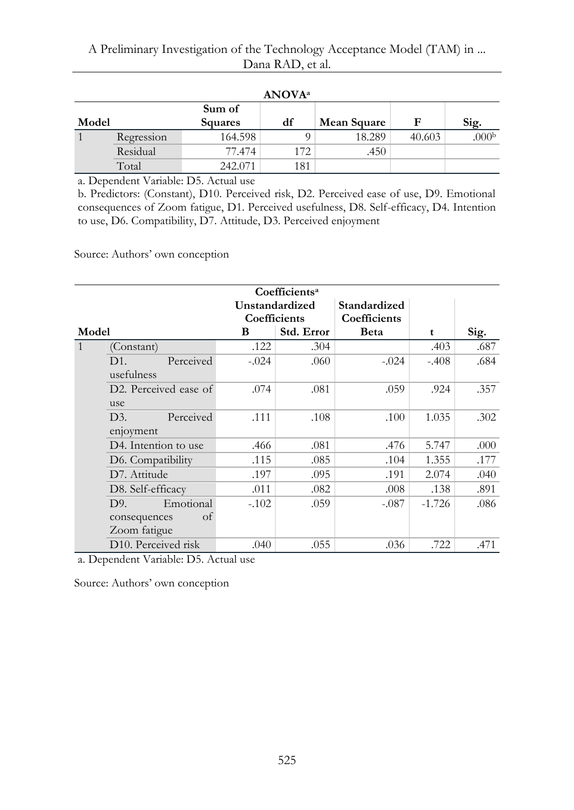#### A Preliminary Investigation of the Technology Acceptance Model (TAM) in ... Dana RAD, et al.

| <b>ANOVA</b> <sup>a</sup> |            |                                |     |             |        |                   |  |
|---------------------------|------------|--------------------------------|-----|-------------|--------|-------------------|--|
| Model                     |            | Sum of<br>df<br><b>Squares</b> |     | Mean Square | F      | Sig.              |  |
|                           | Regression | 164.598                        |     | 18.289      | 40.603 | .000 <sub>b</sub> |  |
|                           | Residual   | 77.474                         | 172 | .450        |        |                   |  |
|                           | Total      | 242.071                        | 181 |             |        |                   |  |

a. Dependent Variable: D5. Actual use

b. Predictors: (Constant), D10. Perceived risk, D2. Perceived ease of use, D9. Emotional consequences of Zoom fatigue, D1. Perceived usefulness, D8. Self-efficacy, D4. Intention to use, D6. Compatibility, D7. Attitude, D3. Perceived enjoyment

Source: Authors' own conception

| Coefficients <sup>a</sup> |                                    |                       |            |              |          |      |  |
|---------------------------|------------------------------------|-----------------------|------------|--------------|----------|------|--|
|                           |                                    | <b>Unstandardized</b> |            | Standardized |          |      |  |
|                           |                                    | Coefficients          |            | Coefficients |          |      |  |
| Model                     |                                    | B                     | Std. Error | <b>Beta</b>  | t        | Sig. |  |
| $\mathbf{1}$              | (Constant)                         | .122                  | .304       |              | .403     | .687 |  |
|                           | Perceived<br>D1.                   | $-.024$               | .060       | $-.024$      | $-.408$  | .684 |  |
|                           | usefulness                         |                       |            |              |          |      |  |
|                           | D <sub>2</sub> . Perceived ease of | .074                  | .081       | .059         | .924     | .357 |  |
|                           | use                                |                       |            |              |          |      |  |
|                           | D3.<br>Perceived                   | .111                  | .108       | .100         | 1.035    | .302 |  |
|                           | enjoyment                          |                       |            |              |          |      |  |
|                           | D4. Intention to use               | .466                  | .081       | .476         | 5.747    | .000 |  |
|                           | D6. Compatibility                  | .115                  | .085       | .104         | 1.355    | .177 |  |
|                           | D7. Attitude                       | .197                  | .095       | .191         | 2.074    | .040 |  |
|                           | D8. Self-efficacy                  | .011                  | .082       | .008         | .138     | .891 |  |
|                           | Emotional<br>D9.                   | $-102$                | .059       | $-.087$      | $-1.726$ | .086 |  |
|                           | of<br>consequences                 |                       |            |              |          |      |  |
|                           | Zoom fatigue                       |                       |            |              |          |      |  |
|                           | D10. Perceived risk                | .040                  | .055       | .036         | .722     | .471 |  |

a. Dependent Variable: D5. Actual use

Source: Authors' own conception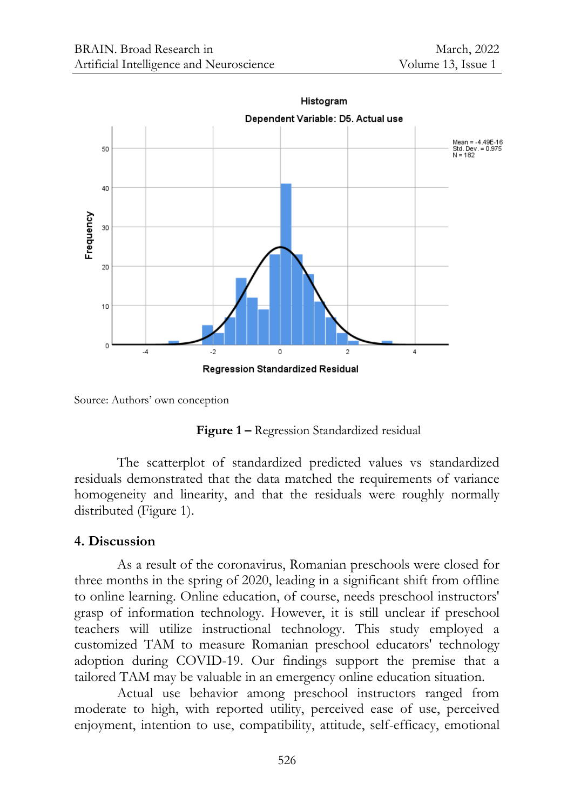

Source: Authors' own conception

**Figure 1 –** Regression Standardized residual

The scatterplot of standardized predicted values vs standardized residuals demonstrated that the data matched the requirements of variance homogeneity and linearity, and that the residuals were roughly normally distributed (Figure 1).

### **4. Discussion**

As a result of the coronavirus, Romanian preschools were closed for three months in the spring of 2020, leading in a significant shift from offline to online learning. Online education, of course, needs preschool instructors' grasp of information technology. However, it is still unclear if preschool teachers will utilize instructional technology. This study employed a customized TAM to measure Romanian preschool educators' technology adoption during COVID-19. Our findings support the premise that a tailored TAM may be valuable in an emergency online education situation.

Actual use behavior among preschool instructors ranged from moderate to high, with reported utility, perceived ease of use, perceived enjoyment, intention to use, compatibility, attitude, self-efficacy, emotional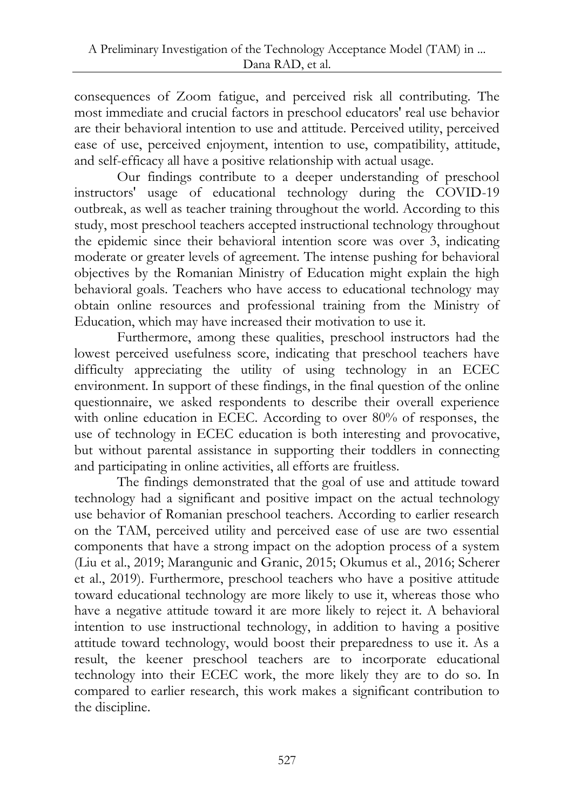consequences of Zoom fatigue, and perceived risk all contributing. The most immediate and crucial factors in preschool educators' real use behavior are their behavioral intention to use and attitude. Perceived utility, perceived ease of use, perceived enjoyment, intention to use, compatibility, attitude, and self-efficacy all have a positive relationship with actual usage.

Our findings contribute to a deeper understanding of preschool instructors' usage of educational technology during the COVID-19 outbreak, as well as teacher training throughout the world. According to this study, most preschool teachers accepted instructional technology throughout the epidemic since their behavioral intention score was over 3, indicating moderate or greater levels of agreement. The intense pushing for behavioral objectives by the Romanian Ministry of Education might explain the high behavioral goals. Teachers who have access to educational technology may obtain online resources and professional training from the Ministry of Education, which may have increased their motivation to use it.

Furthermore, among these qualities, preschool instructors had the lowest perceived usefulness score, indicating that preschool teachers have difficulty appreciating the utility of using technology in an ECEC environment. In support of these findings, in the final question of the online questionnaire, we asked respondents to describe their overall experience with online education in ECEC. According to over 80% of responses, the use of technology in ECEC education is both interesting and provocative, but without parental assistance in supporting their toddlers in connecting and participating in online activities, all efforts are fruitless.

The findings demonstrated that the goal of use and attitude toward technology had a significant and positive impact on the actual technology use behavior of Romanian preschool teachers. According to earlier research on the TAM, perceived utility and perceived ease of use are two essential components that have a strong impact on the adoption process of a system (Liu et al., 2019; Marangunic and Granic, 2015; Okumus et al., 2016; Scherer et al., 2019). Furthermore, preschool teachers who have a positive attitude toward educational technology are more likely to use it, whereas those who have a negative attitude toward it are more likely to reject it. A behavioral intention to use instructional technology, in addition to having a positive attitude toward technology, would boost their preparedness to use it. As a result, the keener preschool teachers are to incorporate educational technology into their ECEC work, the more likely they are to do so. In compared to earlier research, this work makes a significant contribution to the discipline.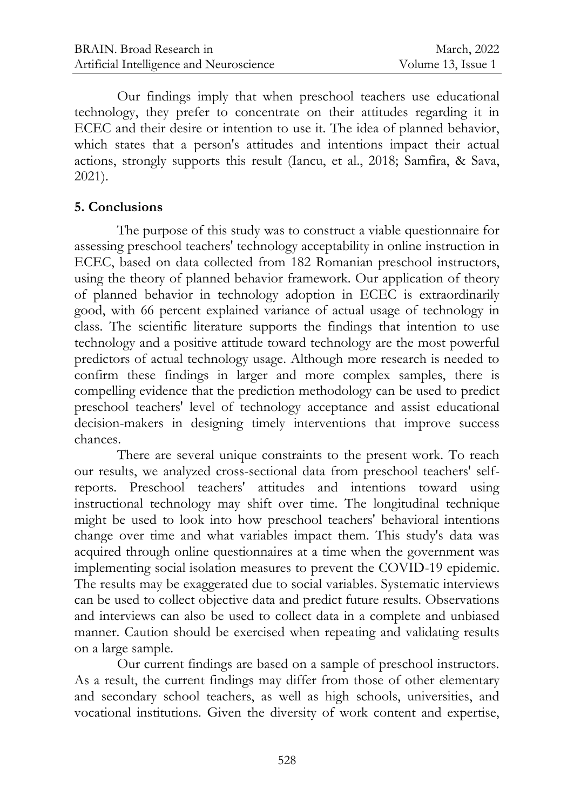Our findings imply that when preschool teachers use educational technology, they prefer to concentrate on their attitudes regarding it in ECEC and their desire or intention to use it. The idea of planned behavior, which states that a person's attitudes and intentions impact their actual actions, strongly supports this result (Iancu, et al., 2018; Samfira, & Sava, 2021).

#### **5. Conclusions**

The purpose of this study was to construct a viable questionnaire for assessing preschool teachers' technology acceptability in online instruction in ECEC, based on data collected from 182 Romanian preschool instructors, using the theory of planned behavior framework. Our application of theory of planned behavior in technology adoption in ECEC is extraordinarily good, with 66 percent explained variance of actual usage of technology in class. The scientific literature supports the findings that intention to use technology and a positive attitude toward technology are the most powerful predictors of actual technology usage. Although more research is needed to confirm these findings in larger and more complex samples, there is compelling evidence that the prediction methodology can be used to predict preschool teachers' level of technology acceptance and assist educational decision-makers in designing timely interventions that improve success chances.

There are several unique constraints to the present work. To reach our results, we analyzed cross-sectional data from preschool teachers' selfreports. Preschool teachers' attitudes and intentions toward using instructional technology may shift over time. The longitudinal technique might be used to look into how preschool teachers' behavioral intentions change over time and what variables impact them. This study's data was acquired through online questionnaires at a time when the government was implementing social isolation measures to prevent the COVID-19 epidemic. The results may be exaggerated due to social variables. Systematic interviews can be used to collect objective data and predict future results. Observations and interviews can also be used to collect data in a complete and unbiased manner. Caution should be exercised when repeating and validating results on a large sample.

Our current findings are based on a sample of preschool instructors. As a result, the current findings may differ from those of other elementary and secondary school teachers, as well as high schools, universities, and vocational institutions. Given the diversity of work content and expertise,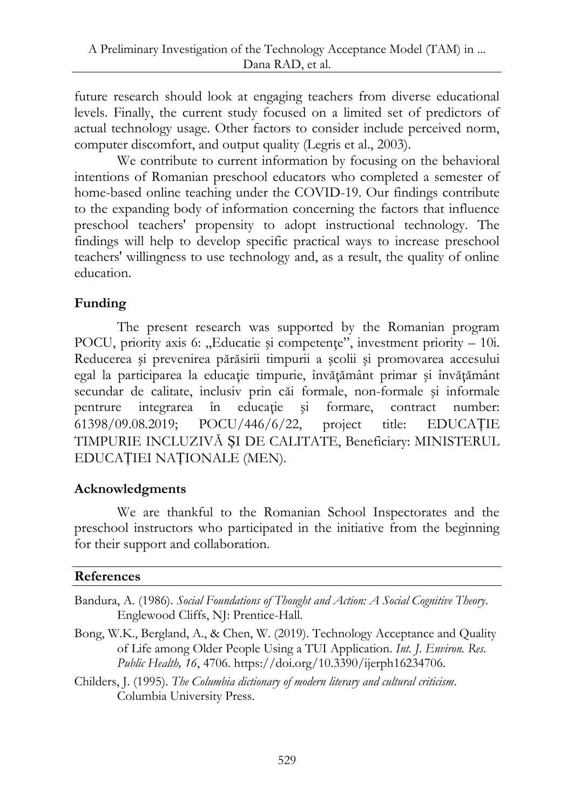future research should look at engaging teachers from diverse educational levels. Finally, the current study focused on a limited set of predictors of actual technology usage. Other factors to consider include perceived norm, computer discomfort, and output quality (Legris et al., 2003).

We contribute to current information by focusing on the behavioral intentions of Romanian preschool educators who completed a semester of home-based online teaching under the COVID-19. Our findings contribute to the expanding body of information concerning the factors that influence preschool teachers' propensity to adopt instructional technology. The findings will help to develop specific practical ways to increase preschool teachers' willingness to use technology and, as a result, the quality of online education.

## **Funding**

The present research was supported by the Romanian program POCU, priority axis 6:  $\mu$ Educatie și competențe", investment priority – 10i. Reducerea şi prevenirea părăsirii timpurii a şcolii şi promovarea accesului egal la participarea la educaţie timpurie, învăţământ primar şi învăţământ secundar de calitate, inclusiv prin căi formale, non-formale şi informale pentrure integrarea în educație și formare, contract number: 61398/09.08.2019; POCU/446/6/22, project title: EDUCAȚIE TIMPURIE INCLUZIVĂ ȘI DE CALITATE, Beneficiary: MINISTERUL EDUCAȚIEI NAȚIONALE (MEN).

## **Acknowledgments**

We are thankful to the Romanian School Inspectorates and the preschool instructors who participated in the initiative from the beginning for their support and collaboration.

### **References**

- Bandura, A. (1986). *Social Foundations of Thought and Action: A Social Cognitive Theory*. Englewood Cliffs, NJ: Prentice-Hall.
- Bong, W.K., Bergland, A., & Chen, W. (2019). Technology Acceptance and Quality of Life among Older People Using a TUI Application. *Int. J. Environ. Res. Public Health, 16*, 4706. https://doi.org/10.3390/ijerph16234706.
- Childers, J. (1995). *The Columbia dictionary of modern literary and cultural criticism*. Columbia University Press.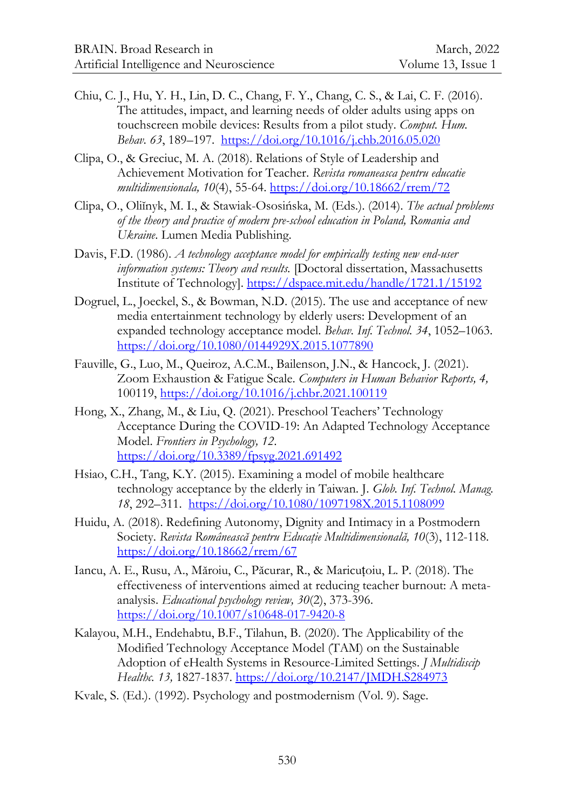- Chiu, C. J., Hu, Y. H., Lin, D. C., Chang, F. Y., Chang, C. S., & Lai, C. F. (2016). The attitudes, impact, and learning needs of older adults using apps on touchscreen mobile devices: Results from a pilot study. *Comput. Hum. Behav. 63*, 189–197.<https://doi.org/10.1016/j.chb.2016.05.020>
- Clipa, O., & Greciuc, M. A. (2018). Relations of Style of Leadership and Achievement Motivation for Teacher. *Revista romaneasca pentru educatie multidimensionala, 10*(4), 55-64. <https://doi.org/10.18662/rrem/72>
- Clipa, O., Oliĭnyk, M. I., & Stawiak-Ososińska, M. (Eds.). (2014). *The actual problems of the theory and practice of modern pre-school education in Poland, Romania and Ukraine*. Lumen Media Publishing.
- Davis, F.D. (1986). *A technology acceptance model for empirically testing new end-user information systems: Theory and results.* [Doctoral dissertation, Massachusetts Institute of Technology]. <https://dspace.mit.edu/handle/1721.1/15192>
- Dogruel, L., Joeckel, S., & Bowman, N.D. (2015). The use and acceptance of new media entertainment technology by elderly users: Development of an expanded technology acceptance model. *Behav. Inf. Technol. 34*, 1052–1063. <https://doi.org/10.1080/0144929X.2015.1077890>
- Fauville, G., Luo, M., Queiroz, A.C.M., Bailenson, J.N., & Hancock, J. (2021). Zoom Exhaustion & Fatigue Scale. *Computers in Human Behavior Reports, 4,* 100119,<https://doi.org/10.1016/j.chbr.2021.100119>
- Hong, X., Zhang, M., & Liu, Q. (2021). Preschool Teachers' Technology Acceptance During the COVID-19: An Adapted Technology Acceptance Model. *Frontiers in Psychology, 12*. <https://doi.org/10.3389/fpsyg.2021.691492>
- Hsiao, C.H., Tang, K.Y. (2015). Examining a model of mobile healthcare technology acceptance by the elderly in Taiwan. J. *Glob. Inf. Technol. Manag. 18*, 292–311. <https://doi.org/10.1080/1097198X.2015.1108099>
- Huidu, A. (2018). Redefining Autonomy, Dignity and Intimacy in a Postmodern Society. *Revista Românească pentru Educaţie Multidimensională, 10*(3), 112-118. <https://doi.org/10.18662/rrem/67>
- Iancu, A. E., Rusu, A., Măroiu, C., Păcurar, R., & Maricuțoiu, L. P. (2018). The effectiveness of interventions aimed at reducing teacher burnout: A metaanalysis. *Educational psychology review, 30*(2), 373-396. <https://doi.org/10.1007/s10648-017-9420-8>
- Kalayou, M.H., Endehabtu, B.F., Tilahun, B. (2020). The Applicability of the Modified Technology Acceptance Model (TAM) on the Sustainable Adoption of eHealth Systems in Resource-Limited Settings. *J Multidiscip Healthc. 13,* 1827-1837[. https://doi.org/10.2147/JMDH.S284973](https://doi.org/10.2147/JMDH.S284973)
- Kvale, S. (Ed.). (1992). Psychology and postmodernism (Vol. 9). Sage.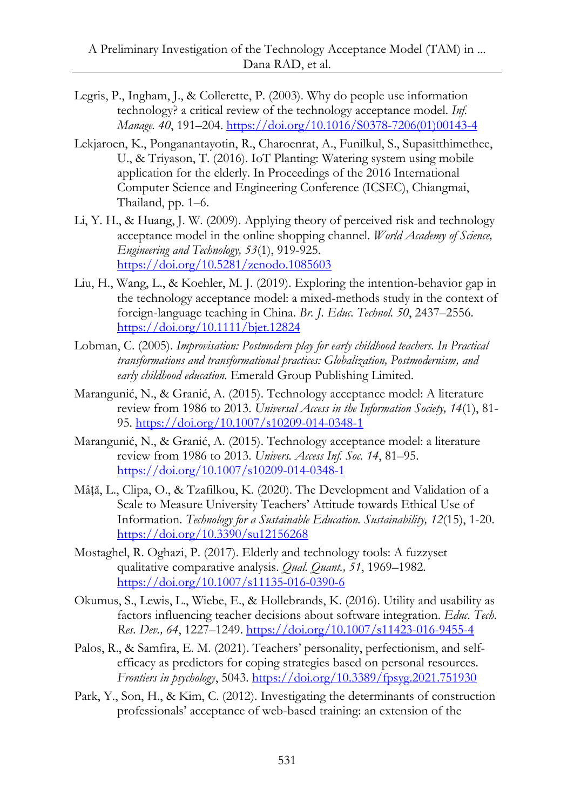- Legris, P., Ingham, J., & Collerette, P. (2003). Why do people use information technology? a critical review of the technology acceptance model. *Inf. Manage. 40*, 191–204. [https://doi.org/10.1016/S0378-7206\(01\)00143-4](https://doi.org/10.1016/S0378-7206(01)00143-4)
- Lekjaroen, K., Ponganantayotin, R., Charoenrat, A., Funilkul, S., Supasitthimethee, U., & Triyason, T. (2016). IoT Planting: Watering system using mobile application for the elderly. In Proceedings of the 2016 International Computer Science and Engineering Conference (ICSEC), Chiangmai, Thailand, pp. 1–6.
- Li, Y. H., & Huang, J. W. (2009). Applying theory of perceived risk and technology acceptance model in the online shopping channel. *World Academy of Science, Engineering and Technology, 53*(1), 919-925. <https://doi.org/10.5281/zenodo.1085603>
- Liu, H., Wang, L., & Koehler, M. J. (2019). Exploring the intention-behavior gap in the technology acceptance model: a mixed-methods study in the context of foreign-language teaching in China. *Br. J. Educ. Technol. 50*, 2437–2556. <https://doi.org/10.1111/bjet.12824>
- Lobman, C. (2005). *Improvisation: Postmodern play for early childhood teachers. In Practical transformations and transformational practices: Globalization, Postmodernism, and early childhood education.* Emerald Group Publishing Limited.
- Marangunić, N., & Granić, A. (2015). Technology acceptance model: A literature review from 1986 to 2013. *Universal Access in the Information Society, 14*(1), 81- 95.<https://doi.org/10.1007/s10209-014-0348-1>
- Marangunić, N., & Granić, A. (2015). Technology acceptance model: a literature review from 1986 to 2013. *Univers. Access Inf. Soc. 14*, 81–95. <https://doi.org/10.1007/s10209-014-0348-1>
- Mâță, L., Clipa, O., & Tzafilkou, K. (2020). The Development and Validation of a Scale to Measure University Teachers' Attitude towards Ethical Use of Information. *Technology for a Sustainable Education. Sustainability, 12*(15), 1-20. <https://doi.org/10.3390/su12156268>
- Mostaghel, R. Oghazi, P. (2017). Elderly and technology tools: A fuzzyset qualitative comparative analysis. *Qual. Quant., 51*, 1969–1982. <https://doi.org/10.1007/s11135-016-0390-6>
- Okumus, S., Lewis, L., Wiebe, E., & Hollebrands, K. (2016). Utility and usability as factors influencing teacher decisions about software integration. *Educ. Tech. Res. Dev., 64*, 1227–1249[. https://doi.org/10.1007/s11423-016-9455-4](https://doi.org/10.1007/s11423-016-9455-4)
- Palos, R., & Samfira, E. M. (2021). Teachers' personality, perfectionism, and selfefficacy as predictors for coping strategies based on personal resources. *Frontiers in psychology*, 5043. <https://doi.org/10.3389/fpsyg.2021.751930>
- Park, Y., Son, H., & Kim, C. (2012). Investigating the determinants of construction professionals' acceptance of web-based training: an extension of the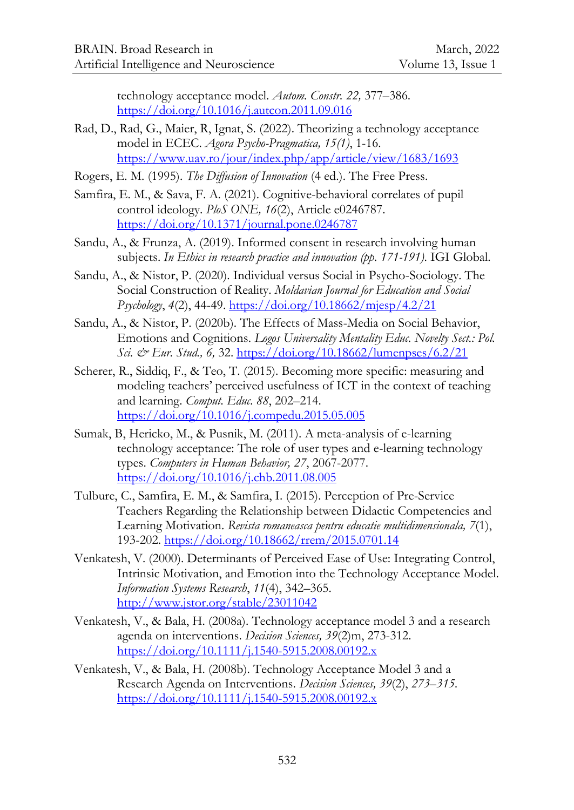technology acceptance model. *Autom. Constr. 22,* 377–386. <https://doi.org/10.1016/j.autcon.2011.09.016>

- Rad, D., Rad, G., Maier, R, Ignat, S. (2022). Theorizing a technology acceptance model in ECEC. *Agora Psycho-Pragmatica, 15(1)*, 1-16. <https://www.uav.ro/jour/index.php/app/article/view/1683/1693>
- Rogers, E. M. (1995). *The Diffusion of Innovation* (4 ed.). The Free Press.
- Samfira, E. M., & Sava, F. A. (2021). Cognitive-behavioral correlates of pupil control ideology. *PloS ONE, 16*(2), Article e0246787. <https://doi.org/10.1371/journal.pone.0246787>
- Sandu, A., & Frunza, A. (2019). Informed consent in research involving human subjects. *In Ethics in research practice and innovation (pp. 171-191)*. IGI Global.
- Sandu, A., & Nistor, P. (2020). Individual versus Social in Psycho-Sociology. The Social Construction of Reality. *Moldavian Journal for Education and Social Psychology*, *4*(2), 44-49.<https://doi.org/10.18662/mjesp/4.2/21>
- Sandu, A., & Nistor, P. (2020b). The Effects of Mass-Media on Social Behavior, Emotions and Cognitions. *Logos Universality Mentality Educ. Novelty Sect.: Pol. Sci. & Eur. Stud., 6,* 32. <https://doi.org/10.18662/lumenpses/6.2/21>
- Scherer, R., Siddiq, F., & Teo, T. (2015). Becoming more specific: measuring and modeling teachers' perceived usefulness of ICT in the context of teaching and learning. *Comput. Educ. 88*, 202–214. <https://doi.org/10.1016/j.compedu.2015.05.005>
- Sumak, B, Hericko, M., & Pusnik, M. (2011). A meta-analysis of e-learning technology acceptance: The role of user types and e-learning technology types. *Computers in Human Behavior, 27*, 2067-2077. <https://doi.org/10.1016/j.chb.2011.08.005>
- Tulbure, C., Samfira, E. M., & Samfira, I. (2015). Perception of Pre-Service Teachers Regarding the Relationship between Didactic Competencies and Learning Motivation. *Revista romaneasca pentru educatie multidimensionala, 7*(1), 193-202. <https://doi.org/10.18662/rrem/2015.0701.14>
- Venkatesh, V. (2000). Determinants of Perceived Ease of Use: Integrating Control, Intrinsic Motivation, and Emotion into the Technology Acceptance Model. *Information Systems Research*, *11*(4), 342–365. <http://www.jstor.org/stable/23011042>
- Venkatesh, V., & Bala, H. (2008a). Technology acceptance model 3 and a research agenda on interventions. *Decision Sciences, 39*(2)m, 273-312. <https://doi.org/10.1111/j.1540-5915.2008.00192.x>
- Venkatesh, V., & Bala, H. (2008b). Technology Acceptance Model 3 and a Research Agenda on Interventions. *Decision Sciences, 39*(2), *273–315.* <https://doi.org/10.1111/j.1540-5915.2008.00192.x>